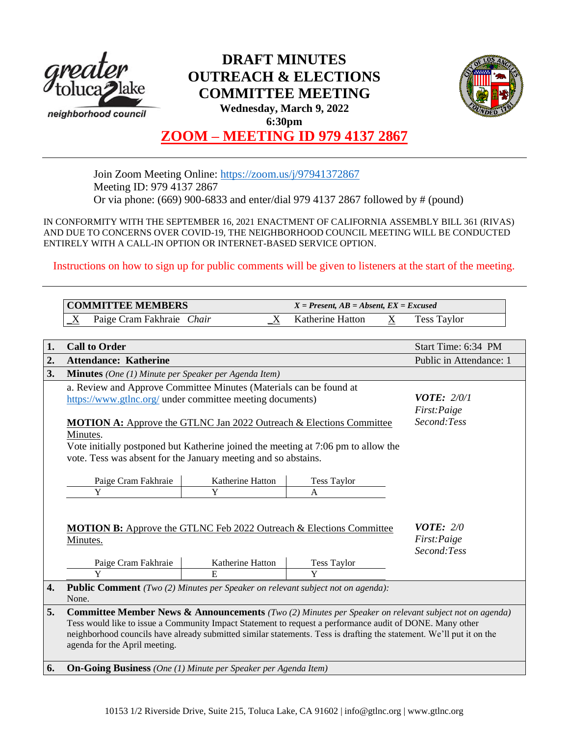

# **DRAFT MINUTES OUTREACH & ELECTIONS COMMITTEE MEETING Wednesday, March 9, 2022 6:30pm**



# **ZOOM – MEETING ID 979 4137 2867**

Join Zoom Meeting Online:<https://zoom.us/j/97941372867> Meeting ID: 979 4137 2867 Or via phone: (669) 900-6833 and enter/dial 979 4137 2867 followed by # (pound)

IN CONFORMITY WITH THE SEPTEMBER 16, 2021 ENACTMENT OF CALIFORNIA ASSEMBLY BILL 361 (RIVAS) AND DUE TO CONCERNS OVER COVID-19, THE NEIGHBORHOOD COUNCIL MEETING WILL BE CONDUCTED ENTIRELY WITH A CALL-IN OPTION OR INTERNET-BASED SERVICE OPTION.

Instructions on how to sign up for public comments will be given to listeners at the start of the meeting.

|    | <b>COMMITTEE MEMBERS</b>                                                                                                                                                                                                                                                                                                                                                                                     |                                                    | $X = Present, AB = Absent, EX = Excused$ |   |                         |  |  |
|----|--------------------------------------------------------------------------------------------------------------------------------------------------------------------------------------------------------------------------------------------------------------------------------------------------------------------------------------------------------------------------------------------------------------|----------------------------------------------------|------------------------------------------|---|-------------------------|--|--|
|    | Paige Cram Fakhraie Chair<br>Χ                                                                                                                                                                                                                                                                                                                                                                               | $_{\rm X}$                                         | Katherine Hatton                         | X | <b>Tess Taylor</b>      |  |  |
|    |                                                                                                                                                                                                                                                                                                                                                                                                              |                                                    |                                          |   |                         |  |  |
| 1. | <b>Call to Order</b>                                                                                                                                                                                                                                                                                                                                                                                         |                                                    |                                          |   | Start Time: 6:34 PM     |  |  |
| 2. | <b>Attendance: Katherine</b>                                                                                                                                                                                                                                                                                                                                                                                 |                                                    |                                          |   | Public in Attendance: 1 |  |  |
| 3. | <b>Minutes</b> (One (1) Minute per Speaker per Agenda Item)                                                                                                                                                                                                                                                                                                                                                  |                                                    |                                          |   |                         |  |  |
|    | a. Review and Approve Committee Minutes (Materials can be found at<br>https://www.gtlnc.org/ under committee meeting documents)<br><b>MOTION A:</b> Approve the GTLNC Jan 2022 Outreach & Elections Committee<br>Minutes.<br>Vote initially postponed but Katherine joined the meeting at 7:06 pm to allow the<br>vote. Tess was absent for the January meeting and so abstains.<br>Paige Cram Fakhraie<br>Y | <i>VOTE:</i> $2/0/1$<br>First:Paige<br>Second:Tess |                                          |   |                         |  |  |
|    | <b>MOTION B:</b> Approve the GTLNC Feb 2022 Outreach & Elections Committee<br>Minutes.                                                                                                                                                                                                                                                                                                                       | <b>VOTE:</b> $2/0$<br>First:Paige<br>Second:Tess   |                                          |   |                         |  |  |
|    | Paige Cram Fakhraie                                                                                                                                                                                                                                                                                                                                                                                          | Katherine Hatton                                   | <b>Tess Taylor</b><br>Y                  |   |                         |  |  |
| 4. | Y<br>E<br>Public Comment (Two (2) Minutes per Speaker on relevant subject not on agenda):<br>None.                                                                                                                                                                                                                                                                                                           |                                                    |                                          |   |                         |  |  |
| 5. | Committee Member News & Announcements (Two (2) Minutes per Speaker on relevant subject not on agenda)<br>Tess would like to issue a Community Impact Statement to request a performance audit of DONE. Many other<br>neighborhood councils have already submitted similar statements. Tess is drafting the statement. We'll put it on the<br>agenda for the April meeting.                                   |                                                    |                                          |   |                         |  |  |
| 6. | <b>On-Going Business</b> (One (1) Minute per Speaker per Agenda Item)                                                                                                                                                                                                                                                                                                                                        |                                                    |                                          |   |                         |  |  |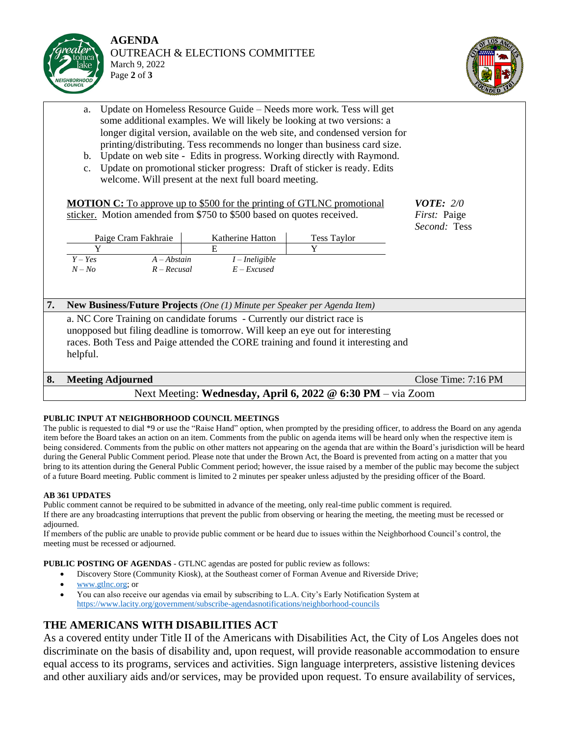



- a. Update on Homeless Resource Guide Needs more work. Tess will get some additional examples. We will likely be looking at two versions: a longer digital version, available on the web site, and condensed version for printing/distributing. Tess recommends no longer than business card size.
- b. Update on web site Edits in progress. Working directly with Raymond.
- c. Update on promotional sticker progress: Draft of sticker is ready. Edits welcome. Will present at the next full board meeting.

|                                                             | <b>MOTION C:</b> To approve up to \$500 for the printing of GTLNC promotional<br>sticker. Motion amended from \$750 to \$500 based on quotes received.                                                                                                        |                                                            | <b>VOTE: 2/0</b><br>First: Paige |                       |  |  |  |  |
|-------------------------------------------------------------|---------------------------------------------------------------------------------------------------------------------------------------------------------------------------------------------------------------------------------------------------------------|------------------------------------------------------------|----------------------------------|-----------------------|--|--|--|--|
|                                                             | Paige Cram Fakhraie<br>$Y - Yes$<br>$A - Abstain$<br>$N - No$<br>$R - Recusal$                                                                                                                                                                                | Katherine Hatton<br>E<br>$I$ – Ineligible<br>$E$ – Excused | Tess Taylor<br>Y                 | <i>Second:</i> Tess   |  |  |  |  |
| 7.                                                          | <b>New Business/Future Projects</b> (One (1) Minute per Speaker per Agenda Item)                                                                                                                                                                              |                                                            |                                  |                       |  |  |  |  |
|                                                             | a. NC Core Training on candidate forums - Currently our district race is<br>unopposed but filing deadline is tomorrow. Will keep an eye out for interesting<br>races. Both Tess and Paige attended the CORE training and found it interesting and<br>helpful. |                                                            |                                  |                       |  |  |  |  |
| 8.                                                          | <b>Meeting Adjourned</b>                                                                                                                                                                                                                                      |                                                            |                                  | Close Time: $7:16$ PM |  |  |  |  |
| Next Meeting: Wednesday, April 6, 2022 @ 6:30 PM - via Zoom |                                                                                                                                                                                                                                                               |                                                            |                                  |                       |  |  |  |  |

## **PUBLIC INPUT AT NEIGHBORHOOD COUNCIL MEETINGS**

The public is requested to dial \*9 or use the "Raise Hand" option, when prompted by the presiding officer, to address the Board on any agenda item before the Board takes an action on an item. Comments from the public on agenda items will be heard only when the respective item is being considered. Comments from the public on other matters not appearing on the agenda that are within the Board's jurisdiction will be heard during the General Public Comment period. Please note that under the Brown Act, the Board is prevented from acting on a matter that you bring to its attention during the General Public Comment period; however, the issue raised by a member of the public may become the subject of a future Board meeting. Public comment is limited to 2 minutes per speaker unless adjusted by the presiding officer of the Board.

## **AB 361 UPDATES**

Public comment cannot be required to be submitted in advance of the meeting, only real-time public comment is required. If there are any broadcasting interruptions that prevent the public from observing or hearing the meeting, the meeting must be recessed or adjourned.

If members of the public are unable to provide public comment or be heard due to issues within the Neighborhood Council's control, the meeting must be recessed or adjourned.

**PUBLIC POSTING OF AGENDAS** - GTLNC agendas are posted for public review as follows:

- Discovery Store (Community Kiosk), at the Southeast corner of Forman Avenue and Riverside Drive;
- [www.gtlnc.org;](http://www.gtlnc.org/) or
- You can also receive our agendas via email by subscribing to L.A. City's Early Notification System at <https://www.lacity.org/government/subscribe-agendasnotifications/neighborhood-councils>

# **THE AMERICANS WITH DISABILITIES ACT**

As a covered entity under Title II of the Americans with Disabilities Act, the City of Los Angeles does not discriminate on the basis of disability and, upon request, will provide reasonable accommodation to ensure equal access to its programs, services and activities. Sign language interpreters, assistive listening devices and other auxiliary aids and/or services, may be provided upon request. To ensure availability of services,